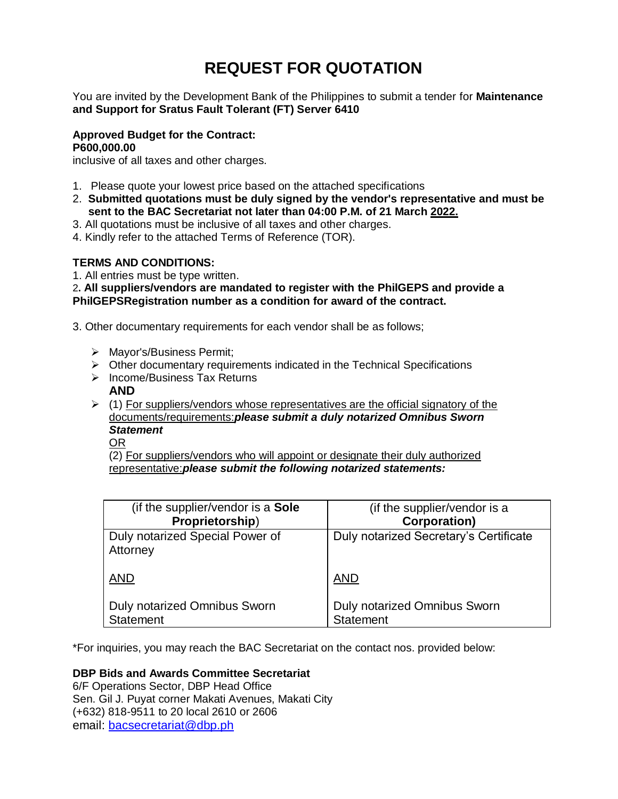# **REQUEST FOR QUOTATION**

You are invited by the Development Bank of the Philippines to submit a tender for **Maintenance and Support for Sratus Fault Tolerant (FT) Server 6410**

## **Approved Budget for the Contract: P600,000.00**

inclusive of all taxes and other charges.

- 1. Please quote your lowest price based on the attached specifications
- 2. **Submitted quotations must be duly signed by the vendor's representative and must be sent to the BAC Secretariat not later than 04:00 P.M. of 21 March 2022.**
- 3. All quotations must be inclusive of all taxes and other charges.
- 4. Kindly refer to the attached Terms of Reference (TOR).

## **TERMS AND CONDITIONS:**

1. All entries must be type written.

2**. All suppliers/vendors are mandated to register with the PhilGEPS and provide a PhilGEPSRegistration number as a condition for award of the contract.**

3. Other documentary requirements for each vendor shall be as follows;

- > Mayor's/Business Permit;
- $\triangleright$  Other documentary requirements indicated in the Technical Specifications
- $\triangleright$  Income/Business Tax Returns
	- **AND**
- $(1)$  For suppliers/vendors whose representatives are the official signatory of the documents/requirements:*please submit a duly notarized Omnibus Sworn Statement*
	- OR

(2) For suppliers/vendors who will appoint or designate their duly authorized representative:*please submit the following notarized statements:*

| (if the supplier/vendor is a Sole           | (if the supplier/vendor is a           |
|---------------------------------------------|----------------------------------------|
| Proprietorship)                             | <b>Corporation)</b>                    |
| Duly notarized Special Power of<br>Attorney | Duly notarized Secretary's Certificate |
| <b>AND</b>                                  | <b>AND</b>                             |
| <b>Duly notarized Omnibus Sworn</b>         | Duly notarized Omnibus Sworn           |
| <b>Statement</b>                            | <b>Statement</b>                       |

\*For inquiries, you may reach the BAC Secretariat on the contact nos. provided below:

# **DBP Bids and Awards Committee Secretariat**

6/F Operations Sector, DBP Head Office Sen. Gil J. Puyat corner Makati Avenues, Makati City (+632) 818-9511 to 20 local 2610 or 2606 email: [bacsecretariat@dbp.ph](mailto:bacsecretariat@dbp.ph)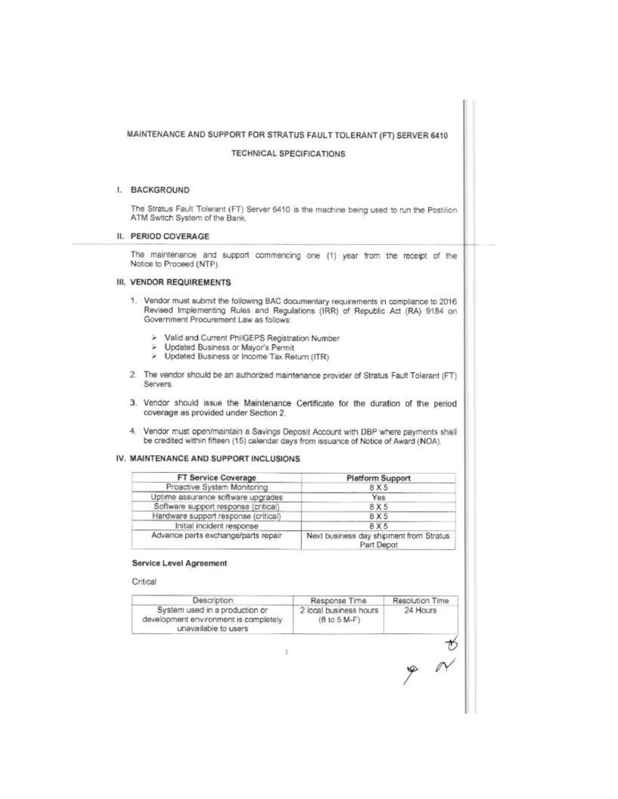| I. BACKGROUND<br>The Stratus Fault Tolerant (FT) Server 6410 is the machine being used to run the Postilion<br>ATM Switch System of the Bank.<br>The maintenance and support commencing one (1) year from the receipt of the<br>Notice to Proceed (NTP).<br>1. Vendor must submit the following BAC documentary requirements in compliance to 2016<br>Revised Implementing Rules and Regulations (IRR) of Republic Act (RA) 9184 on<br>Government Procurement Law as follows:<br>> Valid and Current PhilGEPS Registration Number<br>> Updated Business or Mayor's Permit<br>> Updated Business or Income Tax Return (ITR)<br>2. The vendor should be an authorized maintenance provider of Stratus Fault Tolerant (FT)<br>Servers.<br>3. Vendor should issue the Maintenance Certificate for the duration of the period<br>coverage as provided under Section 2.<br>4. Vendor must open/maintain a Savings Deposit Account with DBP where payments shall<br>be credited within fifteen (15) calendar days from issuance of Notice of Award (NOA).<br>FT Service Coverage<br><b>Platform Support</b><br>Proactive System Monitoring<br>8 X 5<br>Uptime assurance software upgrades<br>Yes<br>Software support response (critical)<br>8 X 5<br>Hardware support response (critical)<br>8 X 5<br>Initial incident response<br>8X5<br>Advance parts exchange/parts repair<br>Next business day shipment from Stratus<br>Part Depot<br><b>Service Level Agreement</b><br>Critical<br>Description<br>Resolution Time<br>Response Time<br>System used in a production or<br>2 local business hours<br>24 Hours<br>development environment is completely<br>$(810.5 M-F)$<br>unavailable to users | MAINTENANCE AND SUPPORT FOR STRATUS FAULT TOLERANT (FT) SERVER 6410<br><b>TECHNICAL SPECIFICATIONS</b> |  |
|--------------------------------------------------------------------------------------------------------------------------------------------------------------------------------------------------------------------------------------------------------------------------------------------------------------------------------------------------------------------------------------------------------------------------------------------------------------------------------------------------------------------------------------------------------------------------------------------------------------------------------------------------------------------------------------------------------------------------------------------------------------------------------------------------------------------------------------------------------------------------------------------------------------------------------------------------------------------------------------------------------------------------------------------------------------------------------------------------------------------------------------------------------------------------------------------------------------------------------------------------------------------------------------------------------------------------------------------------------------------------------------------------------------------------------------------------------------------------------------------------------------------------------------------------------------------------------------------------------------------------------------------------------------------------------------------|--------------------------------------------------------------------------------------------------------|--|
|                                                                                                                                                                                                                                                                                                                                                                                                                                                                                                                                                                                                                                                                                                                                                                                                                                                                                                                                                                                                                                                                                                                                                                                                                                                                                                                                                                                                                                                                                                                                                                                                                                                                                            |                                                                                                        |  |
|                                                                                                                                                                                                                                                                                                                                                                                                                                                                                                                                                                                                                                                                                                                                                                                                                                                                                                                                                                                                                                                                                                                                                                                                                                                                                                                                                                                                                                                                                                                                                                                                                                                                                            |                                                                                                        |  |
| II. PERIOD COVERAGE                                                                                                                                                                                                                                                                                                                                                                                                                                                                                                                                                                                                                                                                                                                                                                                                                                                                                                                                                                                                                                                                                                                                                                                                                                                                                                                                                                                                                                                                                                                                                                                                                                                                        |                                                                                                        |  |
|                                                                                                                                                                                                                                                                                                                                                                                                                                                                                                                                                                                                                                                                                                                                                                                                                                                                                                                                                                                                                                                                                                                                                                                                                                                                                                                                                                                                                                                                                                                                                                                                                                                                                            |                                                                                                        |  |
| III. VENDOR REQUIREMENTS<br>IV. MAINTENANCE AND SUPPORT INCLUSIONS                                                                                                                                                                                                                                                                                                                                                                                                                                                                                                                                                                                                                                                                                                                                                                                                                                                                                                                                                                                                                                                                                                                                                                                                                                                                                                                                                                                                                                                                                                                                                                                                                         |                                                                                                        |  |
|                                                                                                                                                                                                                                                                                                                                                                                                                                                                                                                                                                                                                                                                                                                                                                                                                                                                                                                                                                                                                                                                                                                                                                                                                                                                                                                                                                                                                                                                                                                                                                                                                                                                                            |                                                                                                        |  |
|                                                                                                                                                                                                                                                                                                                                                                                                                                                                                                                                                                                                                                                                                                                                                                                                                                                                                                                                                                                                                                                                                                                                                                                                                                                                                                                                                                                                                                                                                                                                                                                                                                                                                            |                                                                                                        |  |
|                                                                                                                                                                                                                                                                                                                                                                                                                                                                                                                                                                                                                                                                                                                                                                                                                                                                                                                                                                                                                                                                                                                                                                                                                                                                                                                                                                                                                                                                                                                                                                                                                                                                                            |                                                                                                        |  |
|                                                                                                                                                                                                                                                                                                                                                                                                                                                                                                                                                                                                                                                                                                                                                                                                                                                                                                                                                                                                                                                                                                                                                                                                                                                                                                                                                                                                                                                                                                                                                                                                                                                                                            |                                                                                                        |  |
|                                                                                                                                                                                                                                                                                                                                                                                                                                                                                                                                                                                                                                                                                                                                                                                                                                                                                                                                                                                                                                                                                                                                                                                                                                                                                                                                                                                                                                                                                                                                                                                                                                                                                            |                                                                                                        |  |
|                                                                                                                                                                                                                                                                                                                                                                                                                                                                                                                                                                                                                                                                                                                                                                                                                                                                                                                                                                                                                                                                                                                                                                                                                                                                                                                                                                                                                                                                                                                                                                                                                                                                                            |                                                                                                        |  |
|                                                                                                                                                                                                                                                                                                                                                                                                                                                                                                                                                                                                                                                                                                                                                                                                                                                                                                                                                                                                                                                                                                                                                                                                                                                                                                                                                                                                                                                                                                                                                                                                                                                                                            |                                                                                                        |  |
|                                                                                                                                                                                                                                                                                                                                                                                                                                                                                                                                                                                                                                                                                                                                                                                                                                                                                                                                                                                                                                                                                                                                                                                                                                                                                                                                                                                                                                                                                                                                                                                                                                                                                            |                                                                                                        |  |
|                                                                                                                                                                                                                                                                                                                                                                                                                                                                                                                                                                                                                                                                                                                                                                                                                                                                                                                                                                                                                                                                                                                                                                                                                                                                                                                                                                                                                                                                                                                                                                                                                                                                                            |                                                                                                        |  |
|                                                                                                                                                                                                                                                                                                                                                                                                                                                                                                                                                                                                                                                                                                                                                                                                                                                                                                                                                                                                                                                                                                                                                                                                                                                                                                                                                                                                                                                                                                                                                                                                                                                                                            |                                                                                                        |  |
|                                                                                                                                                                                                                                                                                                                                                                                                                                                                                                                                                                                                                                                                                                                                                                                                                                                                                                                                                                                                                                                                                                                                                                                                                                                                                                                                                                                                                                                                                                                                                                                                                                                                                            |                                                                                                        |  |
|                                                                                                                                                                                                                                                                                                                                                                                                                                                                                                                                                                                                                                                                                                                                                                                                                                                                                                                                                                                                                                                                                                                                                                                                                                                                                                                                                                                                                                                                                                                                                                                                                                                                                            |                                                                                                        |  |
|                                                                                                                                                                                                                                                                                                                                                                                                                                                                                                                                                                                                                                                                                                                                                                                                                                                                                                                                                                                                                                                                                                                                                                                                                                                                                                                                                                                                                                                                                                                                                                                                                                                                                            |                                                                                                        |  |
|                                                                                                                                                                                                                                                                                                                                                                                                                                                                                                                                                                                                                                                                                                                                                                                                                                                                                                                                                                                                                                                                                                                                                                                                                                                                                                                                                                                                                                                                                                                                                                                                                                                                                            |                                                                                                        |  |
|                                                                                                                                                                                                                                                                                                                                                                                                                                                                                                                                                                                                                                                                                                                                                                                                                                                                                                                                                                                                                                                                                                                                                                                                                                                                                                                                                                                                                                                                                                                                                                                                                                                                                            |                                                                                                        |  |

**College**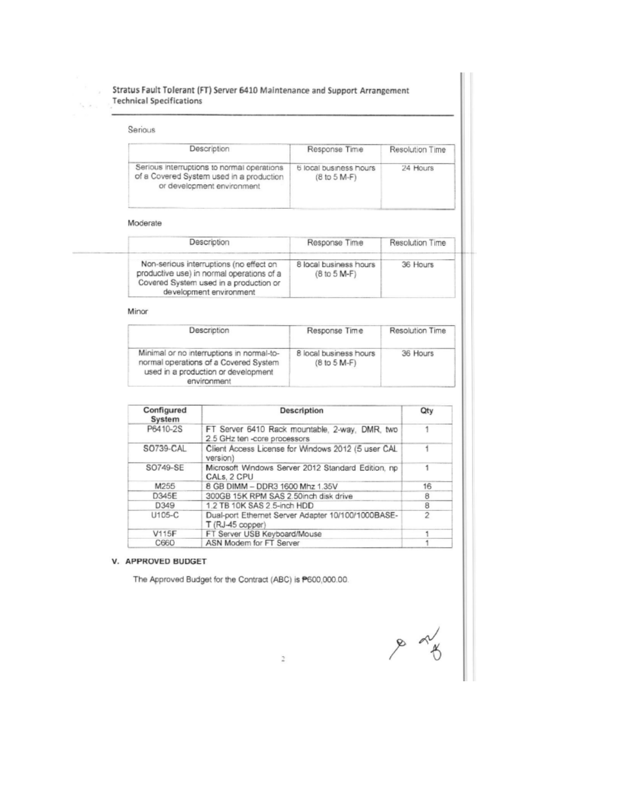## Stratus Fault Tolerant (FT) Server 6410 Maintenance and Support Arrangement **Technical Specifications**

#### Serious Description Response Time Resolution Time Serious interruptions to normal operations 6 local business hours 24 Hours of a Covered System used in a production (8 to 5 M-F) or development environment

## Moderate

۰.

| Description                                                                                                                                               | Response Time                            | <b>Resolution Time</b> |
|-----------------------------------------------------------------------------------------------------------------------------------------------------------|------------------------------------------|------------------------|
| Non-serious interruptions (no effect on<br>productive use) in normal operations of a<br>Covered System used in a production or<br>development environment | 8 local business hours<br>$(8 to 5 M-F)$ | 36 Hours               |

#### Minor

| Description                                                                                                                              | Response Time                            | Resolution Time |  |
|------------------------------------------------------------------------------------------------------------------------------------------|------------------------------------------|-----------------|--|
| Minimal or no interruptions in normal-to-<br>normal operations of a Covered System<br>used in a production or development<br>environment | 8 local business hours<br>$(8 to 5 M-F)$ | 36 Hours        |  |

| Configured<br>System | <b>Description</b>                                                             | Qty |
|----------------------|--------------------------------------------------------------------------------|-----|
| P6410-2S             | FT Server 6410 Rack mountable, 2-way, DMR, two<br>2.5 GHz ten -core processors |     |
| SO739-CAL            | Client Access License for Windows 2012 (5 user CAL<br>version)                 |     |
| SO749-SE             | Microsoft Windows Server 2012 Standard Edition, np<br>CALs, 2 CPU              |     |
| M255                 | 8 GB DIMM - DDR3 1600 Mhz 1.35V                                                | 16  |
| D345E                | 300GB 15K RPM SAS 2.50inch disk drive                                          | 8   |
| D349                 | 1.2 TB 10K SAS 2.5-inch HDD                                                    | 8   |
| U105-C               | Dual-port Ethernet Server Adapter 10/100/1000BASE-<br>$T(RJ-45 copper)$        | 2   |
| <b>V115F</b>         | FT Server USB Keyboard/Mouse                                                   |     |
| C660                 | ASN Modem for FT Server                                                        |     |

## V. APPROVED BUDGET

The Approved Budget for the Contract (ABC) is P600,000.00.

 $\frac{1}{\sqrt{2}}$ 

 $\overline{z}$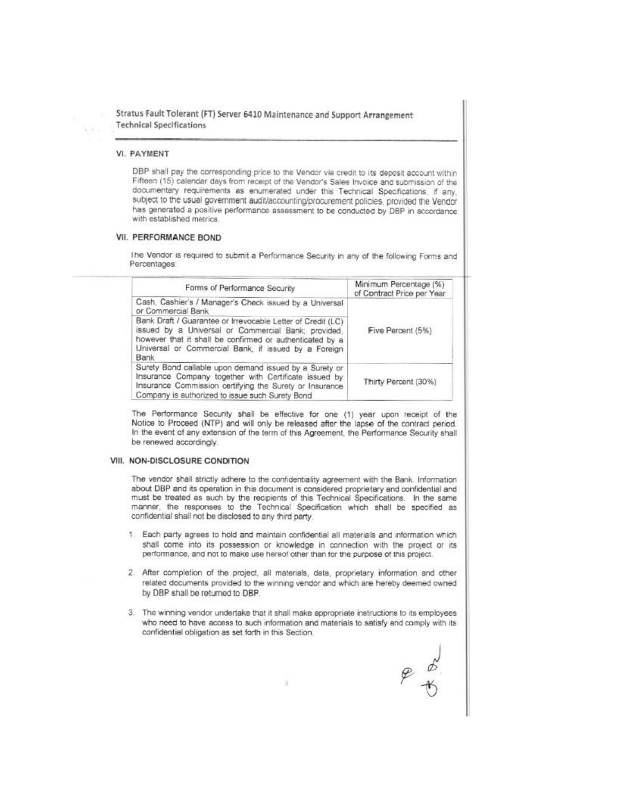Stratus Fault Tolerant (FT) Server 6410 Maintenance and Support Arrangement **Technical Specifications** 

## VI. PAYMENT

DBP shall pay the corresponding price to the Vendor via credit to its deposit account within Fifteen (15) calendar days from receipt of the Vendor's Sales Invoice and submission of the documentary requirements as enumerated under this Technical Specifications, if any, subject to the usual government audit/accounting/procurement policies, provided the Vendor has generated a positive performance assessment to be conducted by DBP in accordance with established metrics.

## VII. PERFORMANCE BOND

The Vendor is required to submit a Performance Security in any of the following Forms and Percentages:

| Forms of Performance Security                                                                                                                                                                                                                  | Minimum Percentage (%)<br>of Contract Price per Year |
|------------------------------------------------------------------------------------------------------------------------------------------------------------------------------------------------------------------------------------------------|------------------------------------------------------|
| Cash, Cashier's / Manager's Check issued by a Universal<br>or Commercial Bank                                                                                                                                                                  |                                                      |
| Bank Draft / Guarantee or Irrevocable Letter of Credit (LC)<br>issued by a Universal or Commercial Bank; provided,<br>however that it shall be confirmed or authenticated by a<br>Universal or Commercial Bank, if issued by a Foreign<br>Bank | Five Percent (5%)                                    |
| Surety Bond callable upon demand issued by a Surety or<br>Insurance Company together with Certificate issued by<br>Insurance Commission certifying the Surety or Insurance<br>Company is authorized to issue such Surety Bond                  | Thirty Percent (30%)                                 |

The Performance Security shall be effective for one (1) year upon receipt of the Notice to Proceed (NTP) and will only be released after the lapse of the contract period. In the event of any extension of the term of this Agreement, the Performance Security shall be renewed accordingly.

## VIII. NON-DISCLOSURE CONDITION

The vendor shall strictly adhere to the confidentiality agreement with the Bank. Information about DBP and its operation in this document is considered proprietary and confidential and must be treated as such by the recipients of this Technical Specifications. In the same manner, the responses to the Technical Specification which shall be specified as confidential shall not be disclosed to any third party.

- 1. Each party agrees to hold and maintain confidential all materials and information which shall come into its possession or knowledge in connection with the project or its performance, and not to make use hereof other than for the purpose of this project.
- 2. After completion of the project, all materials, data, proprietary information and other related documents provided to the winning vendor and which are hereby deemed owned by DBP shall be returned to DBP.
- 3. The winning vendor undertake that it shall make appropriate instructions to its employees who need to have access to such information and materials to satisfy and comply with its confidential obligation as set forth in this Section.

 $e^{b}$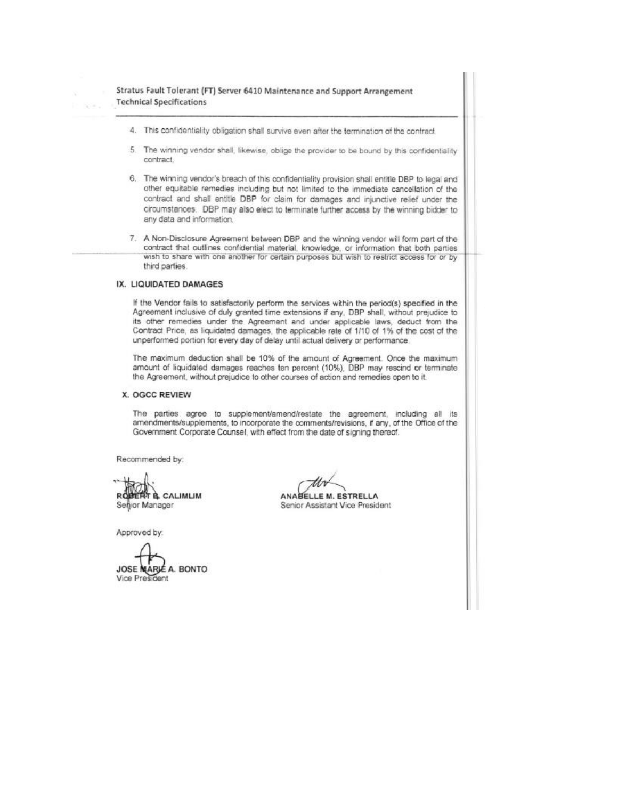Stratus Fault Tolerant (FT) Server 6410 Maintenance and Support Arrangement **Technical Specifications** 

- 4. This confidentiality obligation shall survive even after the termination of the contract
- $\mathbf{r}_i$ The winning vendor shall, likewise, oblige the provider to be bound by this confidentiality contract.
- 6. The winning vendor's breach of this confidentiality provision shall entitle DBP to legal and other equitable remedies including but not limited to the immediate cancellation of the contract and shall entitle DBP for claim for damages and injunctive relief under the circumstances. DBP may also elect to terminate further access by the winning bidder to any data and information.
- 7. A Non-Disclosure Agreement between DBP and the winning vendor will form part of the contract that outlines confidential material, knowledge, or information that both parties wish to share with one another for certain purposes but wish to restrict access for or by third parties.

## IX. LIQUIDATED DAMAGES

If the Vendor fails to satisfactorily perform the services within the period(s) specified in the Agreement inclusive of duly granted time extensions if any, DBP shall, without prejudice to its other remedies under the Agreement and under applicable laws, deduct from the Contract Price, as liquidated damages, the applicable rate of 1/10 of 1% of the cost of the unperformed portion for every day of delay until actual delivery or performance.

The maximum deduction shall be 10% of the amount of Agreement. Once the maximum amount of liquidated damages reaches ten percent (10%), DBP may rescind or terminate the Agreement, without prejudice to other courses of action and remedies open to it.

#### X. OGCC REVIEW

The parties agree to supplement/amend/restate the agreement, including all its amendments/supplements, to incorporate the comments/revisions, if any, of the Office of the Government Corporate Counsel, with effect from the date of signing thereof.

Recommended by:

**ERT & CALIMLIM** Senior Manager

Approved by:

A. BONTO JOSE MAR Vice President

E M. ESTRELLA **ANABEL** Senior Assistant Vice President